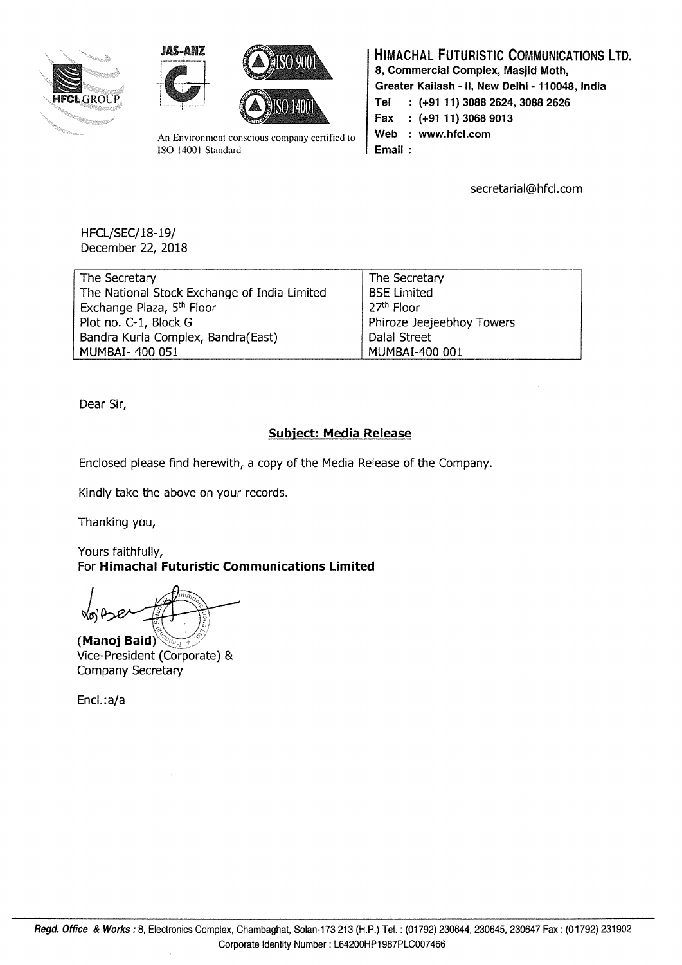





An Environment conscious company certified to ISO 14001 Standard

### HIMACHAL FUTURISTIC COMMUNICATIONS LTD.

8, Commercial Complex, Masjid Moth,

Greater Kailash - II, New Delhi - 110048, India

Tel : (+91 11) 3088 2624, 3088 2626

Fax (+9111) 3068 9013

Web : www.hfcl.com

Email:

secretarial@hfcl.com

HFCL/SEC/18-19/ December 22, 2018

| The Secretary                                | The Secretary             |
|----------------------------------------------|---------------------------|
| The National Stock Exchange of India Limited | <b>BSE Limited</b>        |
| Exchange Plaza, 5 <sup>th</sup> Floor        | 27 <sup>th</sup> Floor    |
| Plot no. C-1, Block G                        | Phiroze Jeejeebhoy Towers |
| Bandra Kurla Complex, Bandra(East)           | Dalal Street              |
| MUMBAI- 400 051                              | MUMBAI-400 001            |

Dear Sir,

#### Subject: Media Release

Enclosed please find herewith, a copy of the Media Release of the Company.

Kindly take the above on your records.

Thanking you,

Yours faithfully, For Himachal Futuristic Communications Limited

(Manoj Baid) Vice-President (Corporate) & Company Secretary

Encl.:a/a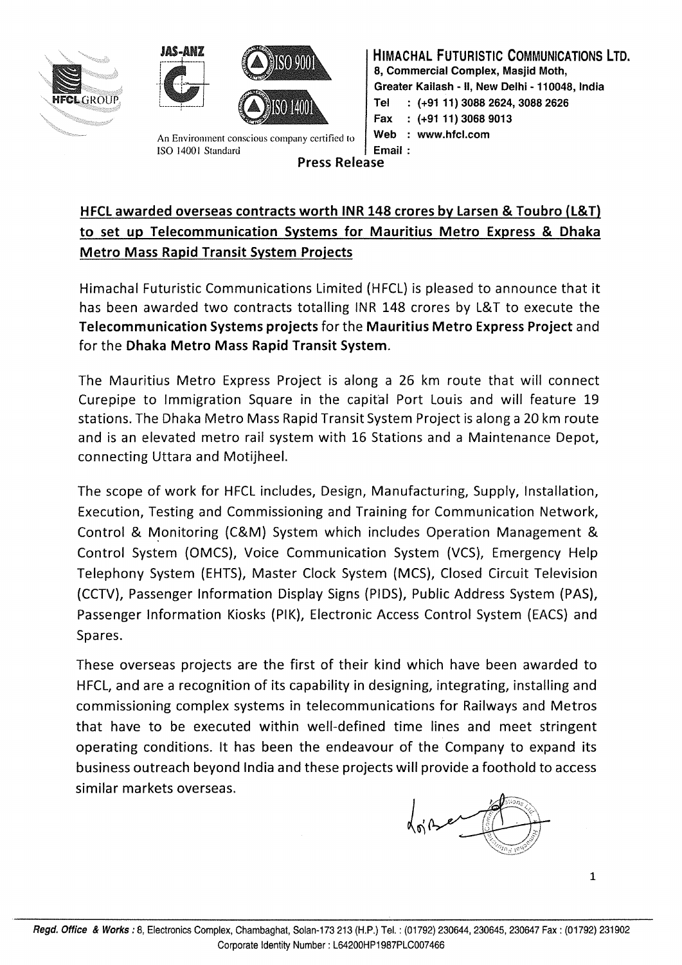





An Environment conscious company certified to ISO 14001 Standard Press Release

HIMACHAL FUTURISTIC COMMUNICATIONS LTD. 8. Commercial Complex, Masjid Moth, Greater Kailash - II, New Delhi - 110048, India Tel : (+91 11) 3088 2624, 3088 2626 Fax : (+91 11) 3068 9013 Web : www.hfcl.com Email:

# HFCl awarded overseas contracts worth INR 148 crores by larsen & Toubro (l&T) to set up Telecommunication Systems for Mauritius Metro Express & Dhaka Metro Mass Rapid Transit System Projects

Himachal Futuristic Communications Limited (HFCL) is pleased to announce that it has been awarded two contracts totalling INR 148 crores by L&T to execute the Telecommunication Systems projects for the Mauritius Metro Express Project and for the Dhaka Metro Mass Rapid Transit System.

The Mauritius Metro Express Project is along a 26 km route that will connect Curepipe to Immigration Square in the capital Port Louis and will feature 19 stations. The Dhaka Metro Mass Rapid Transit System Project is along a 20 km route and is an elevated metro rail system with 16 Stations and a Maintenance Depot, connecting Uttara and Motijheel.

The scope of work for HFCL includes, Design, Manufacturing, Supply, Installation, Execution, Testing and Commissioning and Training for Communication Network, Control & Monitoring (C&M) System which includes Operation Management & Control System (OMCS), Voice Communication System (VCS), Emergency Help Telephony System (EHTS), Master Clock System (MCS), Closed Circuit Television (CCTV), Passenger Information Display Signs (PIDS), Public Address System (PAS), Passenger Information Kiosks (PIK), Electronic Access Control System (EACS) and Spares.

These overseas projects are the first of their kind which have been awarded to HFCL, and are a recognition of its capability in designing, integrating, installing and commissioning complex systems in telecommunications for Railways and Metros that have to be executed within well-defined time lines and meet stringent operating conditions. It has been the endeavour of the Company to expand its business outreach beyond India and these projects will provide a foothold to access similar markets overseas.